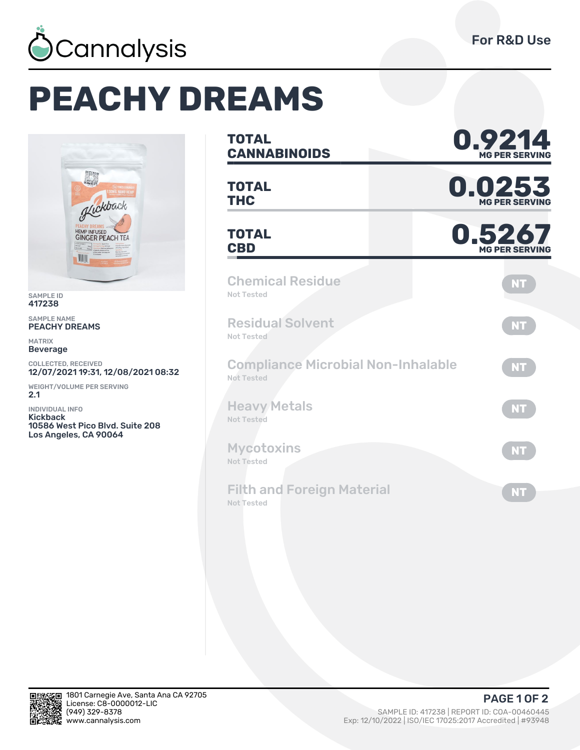

## **PEACHY DREAMS**



SAMPLE ID 417238

SAMPLE NAME PEACHY DREAMS

MATRIX Beverage

COLLECTED, RECEIVED<br>**12/07/2021 19:31, 12/08/2021 08:32** 

WEIGHT/VOLUME PER SERVING **2.1** 

INDIVIDUAL INFO Kickback 10586 West Pico Blvd. Suite 208 Los Angeles, CA 90064

| <b>TOTAL</b><br><b>CANNABINOIDS</b>                     | 0.9214<br><b>MG PER SERVIN</b>  |
|---------------------------------------------------------|---------------------------------|
| <b>TOTAL</b><br><b>THC</b>                              | 0.0253<br><b>MG PER SERVING</b> |
| <b>TOTAL</b><br><b>CBD</b>                              | 0.5267<br><b>MG PER SERVING</b> |
| <b>Chemical Residue</b><br>Not Tested                   | <b>NT</b>                       |
| <b>Residual Solvent</b><br>Not Tested                   | <b>NT</b>                       |
| <b>Compliance Microbial Non-Inhalable</b><br>Not Tested | <b>NT</b>                       |
| <b>Heavy Metals</b><br>Not Tested                       | <b>NT</b>                       |
| <b>Mycotoxins</b><br><b>Not Tested</b>                  | <b>NT</b>                       |
| <b>Filth and Foreign Material</b><br><b>Not Tested</b>  | NT                              |



**PAGE 1 OF 2**